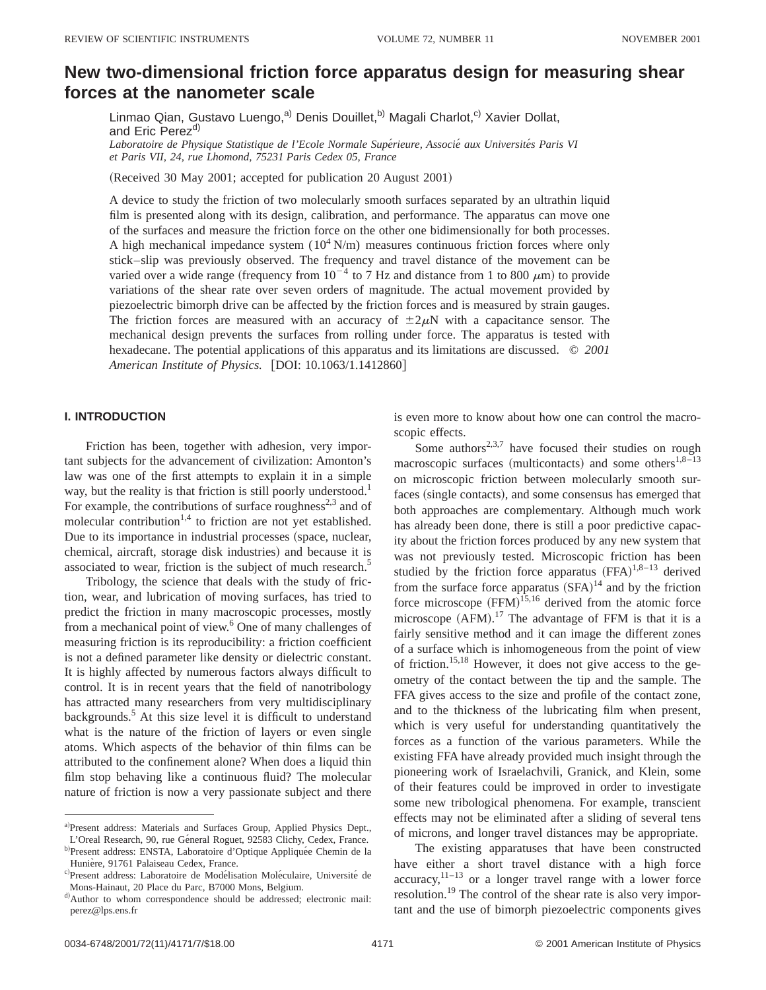# **New two-dimensional friction force apparatus design for measuring shear forces at the nanometer scale**

Linmao Qian, Gustavo Luengo,<sup>a)</sup> Denis Douillet,<sup>b)</sup> Magali Charlot,<sup>c)</sup> Xavier Dollat, and Eric Perez<sup>d)</sup> *Laboratoire de Physique Statistique de l'Ecole Normale Supe´rieure, Associe´ aux Universite´s Paris VI*

*et Paris VII, 24, rue Lhomond, 75231 Paris Cedex 05, France*

(Received 30 May 2001; accepted for publication 20 August 2001)

A device to study the friction of two molecularly smooth surfaces separated by an ultrathin liquid film is presented along with its design, calibration, and performance. The apparatus can move one of the surfaces and measure the friction force on the other one bidimensionally for both processes. A high mechanical impedance system  $(10^4 \text{ N/m})$  measures continuous friction forces where only stick–slip was previously observed. The frequency and travel distance of the movement can be varied over a wide range (frequency from  $10^{-4}$  to 7 Hz and distance from 1 to 800  $\mu$ m) to provide variations of the shear rate over seven orders of magnitude. The actual movement provided by piezoelectric bimorph drive can be affected by the friction forces and is measured by strain gauges. The friction forces are measured with an accuracy of  $\pm 2\mu N$  with a capacitance sensor. The mechanical design prevents the surfaces from rolling under force. The apparatus is tested with hexadecane. The potential applications of this apparatus and its limitations are discussed. © *2001 American Institute of Physics.* [DOI: 10.1063/1.1412860]

# **I. INTRODUCTION**

Friction has been, together with adhesion, very important subjects for the advancement of civilization: Amonton's law was one of the first attempts to explain it in a simple way, but the reality is that friction is still poorly understood.<sup>1</sup> For example, the contributions of surface roughness<sup>2,3</sup> and of molecular contribution<sup>1,4</sup> to friction are not yet established. Due to its importance in industrial processes (space, nuclear, chemical, aircraft, storage disk industries) and because it is associated to wear, friction is the subject of much research.<sup>5</sup>

Tribology, the science that deals with the study of friction, wear, and lubrication of moving surfaces, has tried to predict the friction in many macroscopic processes, mostly from a mechanical point of view.<sup>6</sup> One of many challenges of measuring friction is its reproducibility: a friction coefficient is not a defined parameter like density or dielectric constant. It is highly affected by numerous factors always difficult to control. It is in recent years that the field of nanotribology has attracted many researchers from very multidisciplinary backgrounds.<sup>5</sup> At this size level it is difficult to understand what is the nature of the friction of layers or even single atoms. Which aspects of the behavior of thin films can be attributed to the confinement alone? When does a liquid thin film stop behaving like a continuous fluid? The molecular nature of friction is now a very passionate subject and there

is even more to know about how one can control the macroscopic effects.

Some authors<sup>2,3,7</sup> have focused their studies on rough macroscopic surfaces (multicontacts) and some others<sup>1,8–13</sup> on microscopic friction between molecularly smooth surfaces (single contacts), and some consensus has emerged that both approaches are complementary. Although much work has already been done, there is still a poor predictive capacity about the friction forces produced by any new system that was not previously tested. Microscopic friction has been studied by the friction force apparatus  $(FFA)^{1,8-13}$  derived from the surface force apparatus  $(SFA)^{14}$  and by the friction force microscope  $(FFM)^{15,16}$  derived from the atomic force microscope  $(AFM)$ .<sup>17</sup> The advantage of FFM is that it is a fairly sensitive method and it can image the different zones of a surface which is inhomogeneous from the point of view of friction.15,18 However, it does not give access to the geometry of the contact between the tip and the sample. The FFA gives access to the size and profile of the contact zone, and to the thickness of the lubricating film when present, which is very useful for understanding quantitatively the forces as a function of the various parameters. While the existing FFA have already provided much insight through the pioneering work of Israelachvili, Granick, and Klein, some of their features could be improved in order to investigate some new tribological phenomena. For example, transcient effects may not be eliminated after a sliding of several tens of microns, and longer travel distances may be appropriate.

The existing apparatuses that have been constructed have either a short travel distance with a high force accuracy, $11-13$  or a longer travel range with a lower force resolution.<sup>19</sup> The control of the shear rate is also very important and the use of bimorph piezoelectric components gives

a)Present address: Materials and Surfaces Group, Applied Physics Dept.,

L'Oreal Research, 90, rue Géneral Roguet, 92583 Clichy, Cedex, France. b)Present address: ENSTA, Laboratoire d'Optique Appliquée Chemin de la Hunière, 91761 Palaiseau Cedex, France.

c)Present address: Laboratoire de Modélisation Moléculaire, Université de Mons-Hainaut, 20 Place du Parc, B7000 Mons, Belgium.

d) Author to whom correspondence should be addressed; electronic mail: perez@lps.ens.fr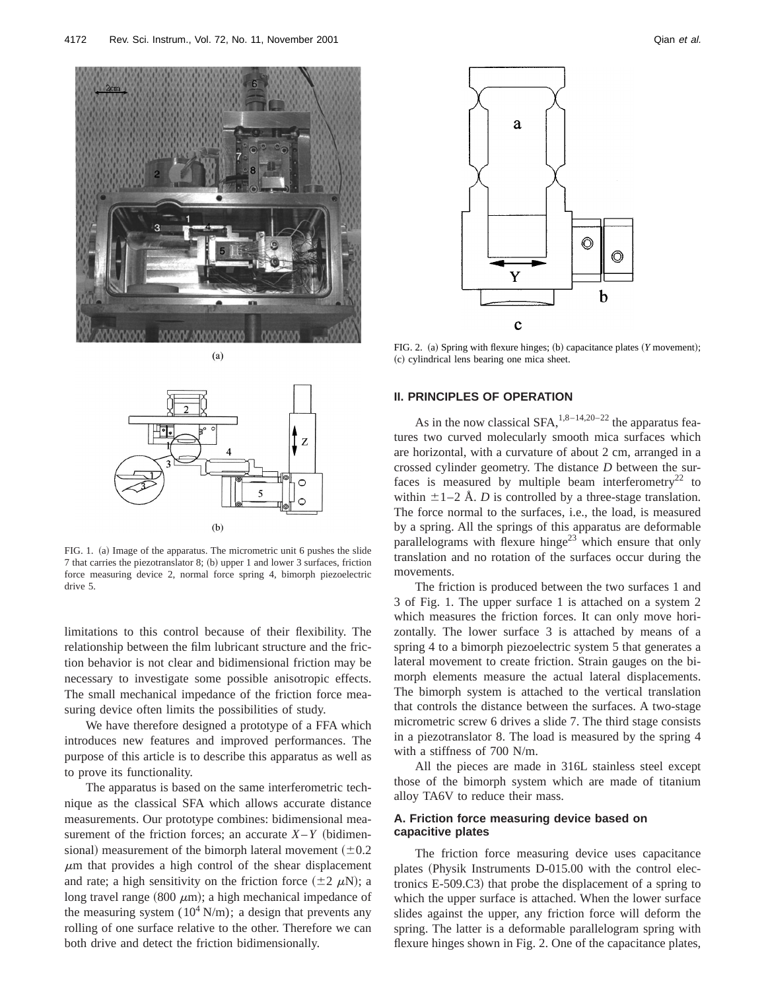

 $(a)$ 



FIG. 1. (a) Image of the apparatus. The micrometric unit 6 pushes the slide  $7$  that carries the piezotranslator  $8$ ; (b) upper 1 and lower 3 surfaces, friction force measuring device 2, normal force spring 4, bimorph piezoelectric drive 5.

limitations to this control because of their flexibility. The relationship between the film lubricant structure and the friction behavior is not clear and bidimensional friction may be necessary to investigate some possible anisotropic effects. The small mechanical impedance of the friction force measuring device often limits the possibilities of study.

We have therefore designed a prototype of a FFA which introduces new features and improved performances. The purpose of this article is to describe this apparatus as well as to prove its functionality.

The apparatus is based on the same interferometric technique as the classical SFA which allows accurate distance measurements. Our prototype combines: bidimensional measurement of the friction forces; an accurate  $X-Y$  (bidimensional) measurement of the bimorph lateral movement  $(\pm 0.2)$  $\mu$ m that provides a high control of the shear displacement and rate; a high sensitivity on the friction force  $(\pm 2 \mu N)$ ; a long travel range (800  $\mu$ m); a high mechanical impedance of the measuring system  $(10^4 \text{ N/m})$ ; a design that prevents any rolling of one surface relative to the other. Therefore we can both drive and detect the friction bidimensionally.



FIG. 2. (a) Spring with flexure hinges; (b) capacitance plates (*Y* movement); ~c! cylindrical lens bearing one mica sheet.

#### **II. PRINCIPLES OF OPERATION**

As in the now classical  $SFA$ ,<sup>1,8–14,20–22</sup> the apparatus features two curved molecularly smooth mica surfaces which are horizontal, with a curvature of about 2 cm, arranged in a crossed cylinder geometry. The distance *D* between the surfaces is measured by multiple beam interferometry<sup>22</sup> to within  $\pm 1$ –2 Å. *D* is controlled by a three-stage translation. The force normal to the surfaces, i.e., the load, is measured by a spring. All the springs of this apparatus are deformable parallelograms with flexure hinge<sup>23</sup> which ensure that only translation and no rotation of the surfaces occur during the movements.

The friction is produced between the two surfaces 1 and 3 of Fig. 1. The upper surface 1 is attached on a system 2 which measures the friction forces. It can only move horizontally. The lower surface 3 is attached by means of a spring 4 to a bimorph piezoelectric system 5 that generates a lateral movement to create friction. Strain gauges on the bimorph elements measure the actual lateral displacements. The bimorph system is attached to the vertical translation that controls the distance between the surfaces. A two-stage micrometric screw 6 drives a slide 7. The third stage consists in a piezotranslator 8. The load is measured by the spring 4 with a stiffness of 700 N/m.

All the pieces are made in 316L stainless steel except those of the bimorph system which are made of titanium alloy TA6V to reduce their mass.

# **A. Friction force measuring device based on capacitive plates**

The friction force measuring device uses capacitance plates (Physik Instruments D-015.00 with the control electronics  $E=509.C3$  that probe the displacement of a spring to which the upper surface is attached. When the lower surface slides against the upper, any friction force will deform the spring. The latter is a deformable parallelogram spring with flexure hinges shown in Fig. 2. One of the capacitance plates,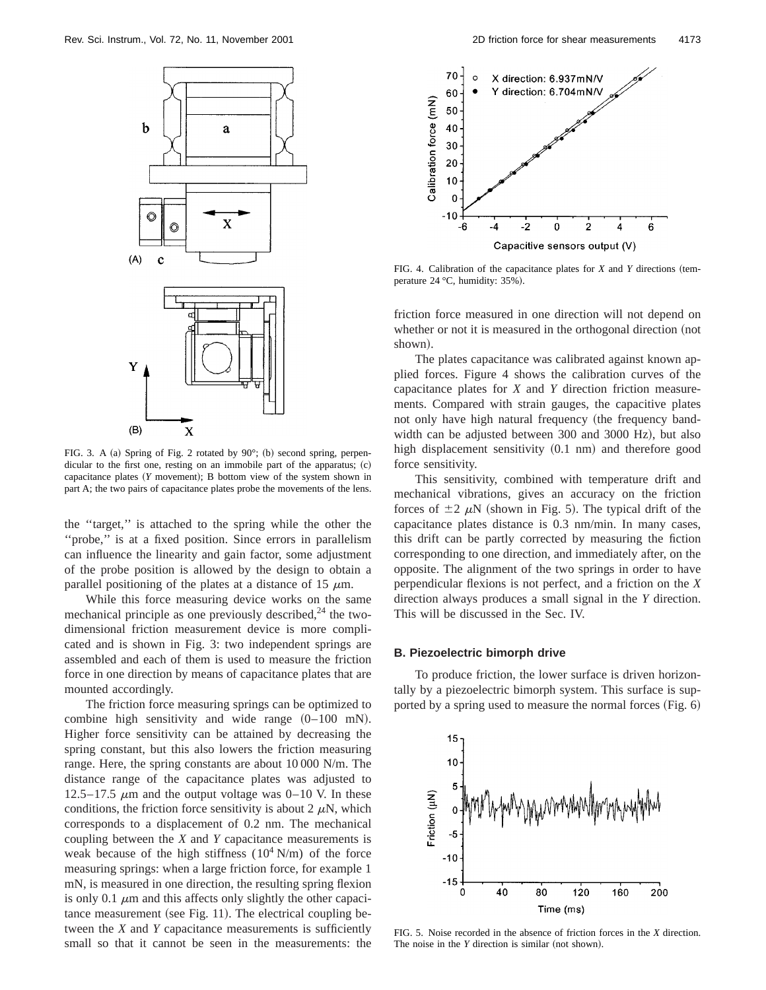

FIG. 3. A (a) Spring of Fig. 2 rotated by  $90^\circ$ ; (b) second spring, perpendicular to the first one, resting on an immobile part of the apparatus;  $(c)$ capacitance plates  $(Y$  movement); B bottom view of the system shown in part A; the two pairs of capacitance plates probe the movements of the lens.

the ''target,'' is attached to the spring while the other the "probe," is at a fixed position. Since errors in parallelism can influence the linearity and gain factor, some adjustment of the probe position is allowed by the design to obtain a parallel positioning of the plates at a distance of 15  $\mu$ m.

While this force measuring device works on the same mechanical principle as one previously described, $24$  the twodimensional friction measurement device is more complicated and is shown in Fig. 3: two independent springs are assembled and each of them is used to measure the friction force in one direction by means of capacitance plates that are mounted accordingly.

The friction force measuring springs can be optimized to combine high sensitivity and wide range  $(0-100 \text{ mN})$ . Higher force sensitivity can be attained by decreasing the spring constant, but this also lowers the friction measuring range. Here, the spring constants are about 10 000 N/m. The distance range of the capacitance plates was adjusted to 12.5–17.5  $\mu$ m and the output voltage was 0–10 V. In these conditions, the friction force sensitivity is about 2  $\mu$ N, which corresponds to a displacement of 0.2 nm. The mechanical coupling between the *X* and *Y* capacitance measurements is weak because of the high stiffness  $(10^4 \text{ N/m})$  of the force measuring springs: when a large friction force, for example 1 mN, is measured in one direction, the resulting spring flexion is only 0.1  $\mu$ m and this affects only slightly the other capaci $t$ ance measurement (see Fig. 11). The electrical coupling between the *X* and *Y* capacitance measurements is sufficiently small so that it cannot be seen in the measurements: the



FIG. 4. Calibration of the capacitance plates for  $X$  and  $Y$  directions (temperature 24 °C, humidity: 35%).

friction force measured in one direction will not depend on whether or not it is measured in the orthogonal direction (not shown).

The plates capacitance was calibrated against known applied forces. Figure 4 shows the calibration curves of the capacitance plates for *X* and *Y* direction friction measurements. Compared with strain gauges, the capacitive plates not only have high natural frequency (the frequency bandwidth can be adjusted between 300 and 3000 Hz), but also high displacement sensitivity  $(0.1 \text{ nm})$  and therefore good force sensitivity.

This sensitivity, combined with temperature drift and mechanical vibrations, gives an accuracy on the friction forces of  $\pm 2 \mu N$  (shown in Fig. 5). The typical drift of the capacitance plates distance is 0.3 nm/min. In many cases, this drift can be partly corrected by measuring the fiction corresponding to one direction, and immediately after, on the opposite. The alignment of the two springs in order to have perpendicular flexions is not perfect, and a friction on the *X* direction always produces a small signal in the *Y* direction. This will be discussed in the Sec. IV.

#### **B. Piezoelectric bimorph drive**

To produce friction, the lower surface is driven horizontally by a piezoelectric bimorph system. This surface is supported by a spring used to measure the normal forces  $(Fig. 6)$ 



FIG. 5. Noise recorded in the absence of friction forces in the *X* direction. The noise in the  $Y$  direction is similar (not shown).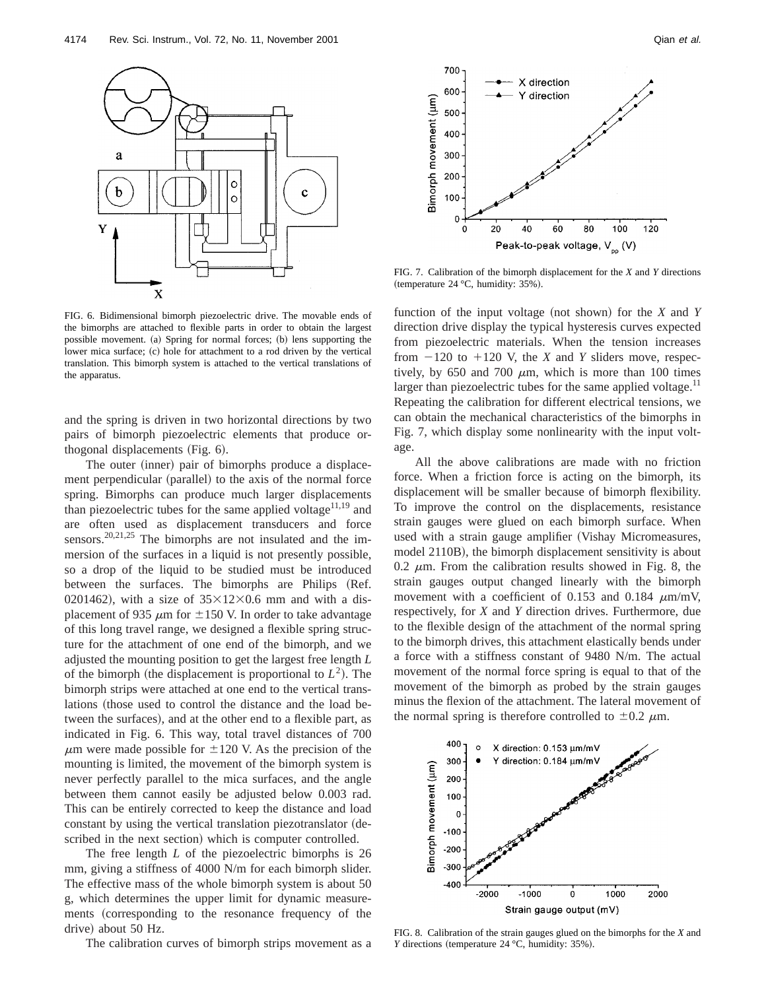

FIG. 6. Bidimensional bimorph piezoelectric drive. The movable ends of the bimorphs are attached to flexible parts in order to obtain the largest possible movement. (a) Spring for normal forces; (b) lens supporting the lower mica surface; (c) hole for attachment to a rod driven by the vertical translation. This bimorph system is attached to the vertical translations of the apparatus.

and the spring is driven in two horizontal directions by two pairs of bimorph piezoelectric elements that produce orthogonal displacements (Fig. 6).

The outer (inner) pair of bimorphs produce a displacement perpendicular (parallel) to the axis of the normal force spring. Bimorphs can produce much larger displacements than piezoelectric tubes for the same applied voltage $11,19$  and are often used as displacement transducers and force sensors.<sup>20,21,25</sup> The bimorphs are not insulated and the immersion of the surfaces in a liquid is not presently possible, so a drop of the liquid to be studied must be introduced between the surfaces. The bimorphs are Philips (Ref. 0201462), with a size of  $35\times12\times0.6$  mm and with a displacement of 935  $\mu$ m for  $\pm$ 150 V. In order to take advantage of this long travel range, we designed a flexible spring structure for the attachment of one end of the bimorph, and we adjusted the mounting position to get the largest free length *L* of the bimorph (the displacement is proportional to  $L^2$ ). The bimorph strips were attached at one end to the vertical translations (those used to control the distance and the load between the surfaces), and at the other end to a flexible part, as indicated in Fig. 6. This way, total travel distances of 700  $\mu$ m were made possible for  $\pm 120$  V. As the precision of the mounting is limited, the movement of the bimorph system is never perfectly parallel to the mica surfaces, and the angle between them cannot easily be adjusted below 0.003 rad. This can be entirely corrected to keep the distance and load constant by using the vertical translation piezotranslator (described in the next section) which is computer controlled.

The free length *L* of the piezoelectric bimorphs is 26 mm, giving a stiffness of 4000 N/m for each bimorph slider. The effective mass of the whole bimorph system is about 50 g, which determines the upper limit for dynamic measurements (corresponding to the resonance frequency of the drive) about 50 Hz.

The calibration curves of bimorph strips movement as a



FIG. 7. Calibration of the bimorph displacement for the *X* and *Y* directions (temperature  $24 °C$ , humidity:  $35%$ ).

function of the input voltage (not shown) for the  $X$  and  $Y$ direction drive display the typical hysteresis curves expected from piezoelectric materials. When the tension increases from  $-120$  to  $+120$  V, the *X* and *Y* sliders move, respectively, by 650 and 700  $\mu$ m, which is more than 100 times larger than piezoelectric tubes for the same applied voltage. $^{11}$ Repeating the calibration for different electrical tensions, we can obtain the mechanical characteristics of the bimorphs in Fig. 7, which display some nonlinearity with the input voltage.

All the above calibrations are made with no friction force. When a friction force is acting on the bimorph, its displacement will be smaller because of bimorph flexibility. To improve the control on the displacements, resistance strain gauges were glued on each bimorph surface. When used with a strain gauge amplifier (Vishay Micromeasures, model 2110B), the bimorph displacement sensitivity is about 0.2  $\mu$ m. From the calibration results showed in Fig. 8, the strain gauges output changed linearly with the bimorph movement with a coefficient of 0.153 and 0.184  $\mu$ m/mV, respectively, for *X* and *Y* direction drives. Furthermore, due to the flexible design of the attachment of the normal spring to the bimorph drives, this attachment elastically bends under a force with a stiffness constant of 9480 N/m. The actual movement of the normal force spring is equal to that of the movement of the bimorph as probed by the strain gauges minus the flexion of the attachment. The lateral movement of the normal spring is therefore controlled to  $\pm 0.2 \mu$ m.



FIG. 8. Calibration of the strain gauges glued on the bimorphs for the *X* and *Y* directions (temperature 24  $^{\circ}$ C, humidity: 35%).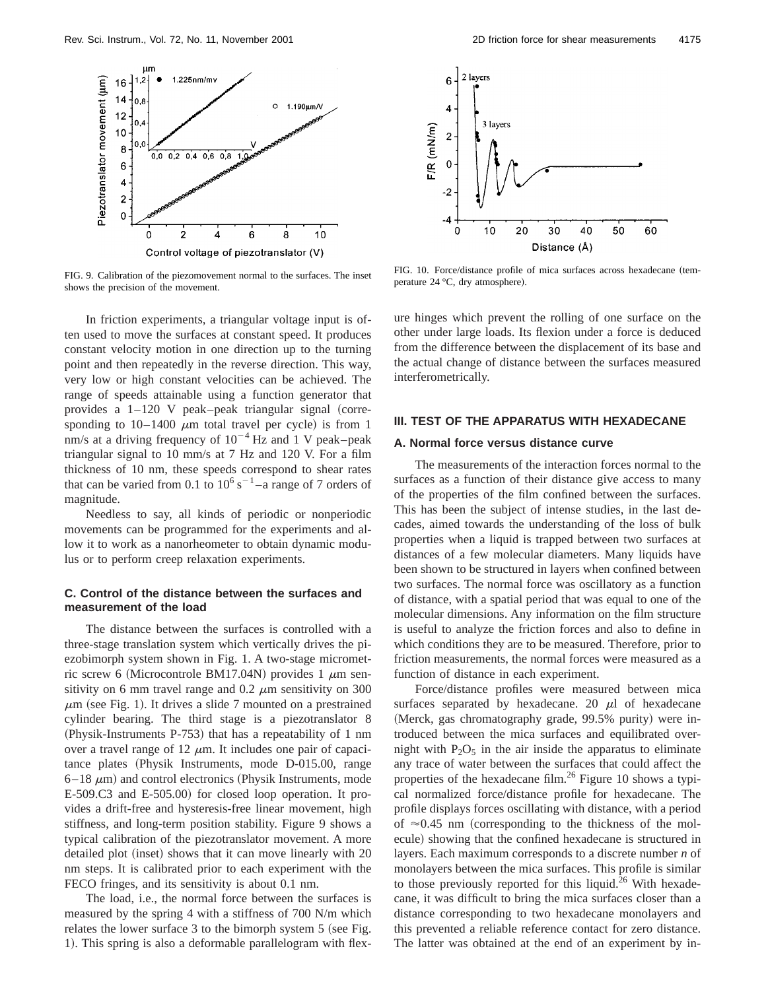

FIG. 9. Calibration of the piezomovement normal to the surfaces. The inset shows the precision of the movement.

In friction experiments, a triangular voltage input is often used to move the surfaces at constant speed. It produces constant velocity motion in one direction up to the turning point and then repeatedly in the reverse direction. This way, very low or high constant velocities can be achieved. The range of speeds attainable using a function generator that provides a  $1-120$  V peak–peak triangular signal (corresponding to  $10-1400 \mu m$  total travel per cycle) is from 1 nm/s at a driving frequency of  $10^{-4}$  Hz and 1 V peak–peak triangular signal to 10 mm/s at 7 Hz and 120 V. For a film thickness of 10 nm, these speeds correspond to shear rates that can be varied from 0.1 to  $10^6$  s<sup>-1</sup>-a range of 7 orders of magnitude.

Needless to say, all kinds of periodic or nonperiodic movements can be programmed for the experiments and allow it to work as a nanorheometer to obtain dynamic modulus or to perform creep relaxation experiments.

#### **C. Control of the distance between the surfaces and measurement of the load**

The distance between the surfaces is controlled with a three-stage translation system which vertically drives the piezobimorph system shown in Fig. 1. A two-stage micrometric screw 6 (Microcontrole BM17.04N) provides 1  $\mu$ m sensitivity on 6 mm travel range and  $0.2 \mu$ m sensitivity on 300  $\mu$ m (see Fig. 1). It drives a slide 7 mounted on a prestrained cylinder bearing. The third stage is a piezotranslator 8 (Physik-Instruments P-753) that has a repeatability of 1 nm over a travel range of 12  $\mu$ m. It includes one pair of capacitance plates (Physik Instruments, mode D-015.00, range  $6-18 \mu m$ ) and control electronics (Physik Instruments, mode E-509.C3 and E-505.00) for closed loop operation. It provides a drift-free and hysteresis-free linear movement, high stiffness, and long-term position stability. Figure 9 shows a typical calibration of the piezotranslator movement. A more detailed plot (inset) shows that it can move linearly with 20 nm steps. It is calibrated prior to each experiment with the FECO fringes, and its sensitivity is about 0.1 nm.

The load, i.e., the normal force between the surfaces is measured by the spring 4 with a stiffness of 700 N/m which relates the lower surface  $3$  to the bimorph system  $5$  (see Fig. 1). This spring is also a deformable parallelogram with flex-



FIG. 10. Force/distance profile of mica surfaces across hexadecane (temperature 24 °C, dry atmosphere).

ure hinges which prevent the rolling of one surface on the other under large loads. Its flexion under a force is deduced from the difference between the displacement of its base and the actual change of distance between the surfaces measured interferometrically.

#### **III. TEST OF THE APPARATUS WITH HEXADECANE**

## **A. Normal force versus distance curve**

The measurements of the interaction forces normal to the surfaces as a function of their distance give access to many of the properties of the film confined between the surfaces. This has been the subject of intense studies, in the last decades, aimed towards the understanding of the loss of bulk properties when a liquid is trapped between two surfaces at distances of a few molecular diameters. Many liquids have been shown to be structured in layers when confined between two surfaces. The normal force was oscillatory as a function of distance, with a spatial period that was equal to one of the molecular dimensions. Any information on the film structure is useful to analyze the friction forces and also to define in which conditions they are to be measured. Therefore, prior to friction measurements, the normal forces were measured as a function of distance in each experiment.

Force/distance profiles were measured between mica surfaces separated by hexadecane. 20  $\mu$ l of hexadecane (Merck, gas chromatography grade, 99.5% purity) were introduced between the mica surfaces and equilibrated overnight with  $P_2O_5$  in the air inside the apparatus to eliminate any trace of water between the surfaces that could affect the properties of the hexadecane film.<sup>26</sup> Figure 10 shows a typical normalized force/distance profile for hexadecane. The profile displays forces oscillating with distance, with a period of  $\approx 0.45$  nm (corresponding to the thickness of the molecule) showing that the confined hexadecane is structured in layers. Each maximum corresponds to a discrete number *n* of monolayers between the mica surfaces. This profile is similar to those previously reported for this liquid.<sup>26</sup> With hexadecane, it was difficult to bring the mica surfaces closer than a distance corresponding to two hexadecane monolayers and this prevented a reliable reference contact for zero distance. The latter was obtained at the end of an experiment by in-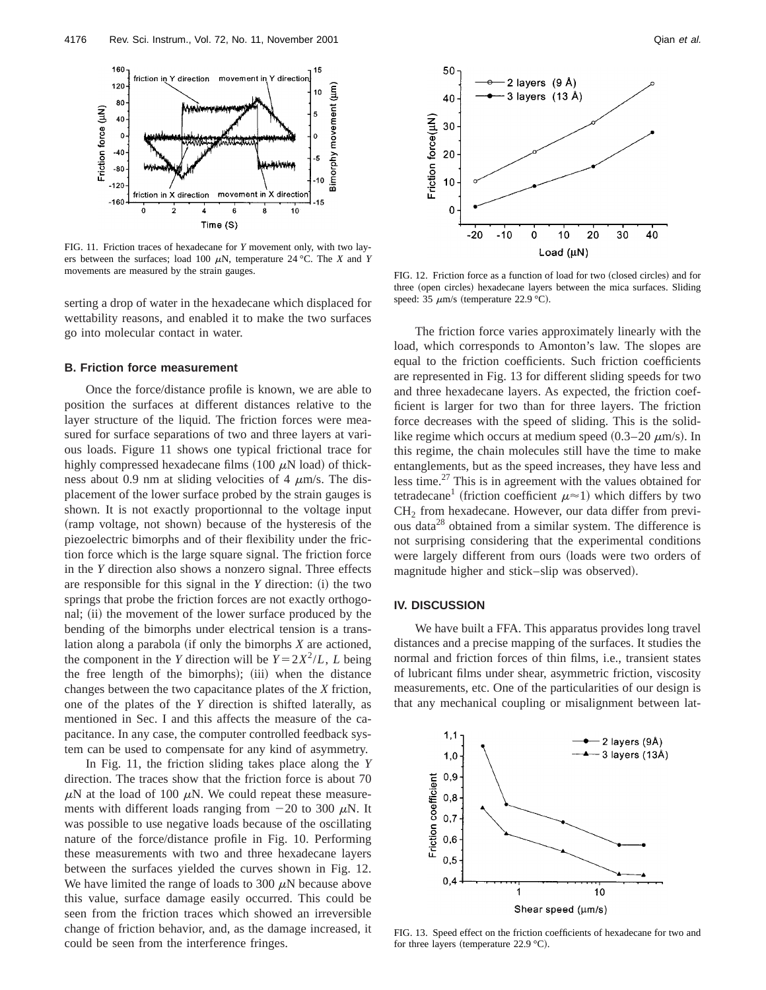

FIG. 11. Friction traces of hexadecane for *Y* movement only, with two layers between the surfaces; load 100  $\mu$ N, temperature 24 °C. The *X* and *Y* movements are measured by the strain gauges. FIG. 12. Friction force as a function of load for two (closed circles) and for

serting a drop of water in the hexadecane which displaced for wettability reasons, and enabled it to make the two surfaces go into molecular contact in water.

#### **B. Friction force measurement**

Once the force/distance profile is known, we are able to position the surfaces at different distances relative to the layer structure of the liquid. The friction forces were measured for surface separations of two and three layers at various loads. Figure 11 shows one typical frictional trace for highly compressed hexadecane films  $(100 \mu N \text{ load})$  of thickness about 0.9 nm at sliding velocities of 4  $\mu$ m/s. The displacement of the lower surface probed by the strain gauges is shown. It is not exactly proportionnal to the voltage input (ramp voltage, not shown) because of the hysteresis of the piezoelectric bimorphs and of their flexibility under the friction force which is the large square signal. The friction force in the *Y* direction also shows a nonzero signal. Three effects are responsible for this signal in the  $Y$  direction:  $(i)$  the two springs that probe the friction forces are not exactly orthogonal; (ii) the movement of the lower surface produced by the bending of the bimorphs under electrical tension is a translation along a parabola (if only the bimorphs *X* are actioned, the component in the *Y* direction will be  $Y = 2X^2/L$ , *L* being the free length of the bimorphs); (iii) when the distance changes between the two capacitance plates of the *X* friction, one of the plates of the *Y* direction is shifted laterally, as mentioned in Sec. I and this affects the measure of the capacitance. In any case, the computer controlled feedback system can be used to compensate for any kind of asymmetry.

In Fig. 11, the friction sliding takes place along the *Y* direction. The traces show that the friction force is about 70  $\mu$ N at the load of 100  $\mu$ N. We could repeat these measurements with different loads ranging from  $-20$  to 300  $\mu$ N. It was possible to use negative loads because of the oscillating nature of the force/distance profile in Fig. 10. Performing these measurements with two and three hexadecane layers between the surfaces yielded the curves shown in Fig. 12. We have limited the range of loads to 300  $\mu$ N because above this value, surface damage easily occurred. This could be seen from the friction traces which showed an irreversible change of friction behavior, and, as the damage increased, it could be seen from the interference fringes.



three (open circles) hexadecane layers between the mica surfaces. Sliding speed: 35  $\mu$ m/s (temperature 22.9 °C).

The friction force varies approximately linearly with the load, which corresponds to Amonton's law. The slopes are equal to the friction coefficients. Such friction coefficients are represented in Fig. 13 for different sliding speeds for two and three hexadecane layers. As expected, the friction coefficient is larger for two than for three layers. The friction force decreases with the speed of sliding. This is the solidlike regime which occurs at medium speed  $(0.3-20 \mu m/s)$ . In this regime, the chain molecules still have the time to make entanglements, but as the speed increases, they have less and less time.27 This is in agreement with the values obtained for tetradecane<sup>1</sup> (friction coefficient  $\mu \approx 1$ ) which differs by two CH<sub>2</sub> from hexadecane. However, our data differ from previous data<sup>28</sup> obtained from a similar system. The difference is not surprising considering that the experimental conditions were largely different from ours (loads were two orders of magnitude higher and stick–slip was observed).

## **IV. DISCUSSION**

We have built a FFA. This apparatus provides long travel distances and a precise mapping of the surfaces. It studies the normal and friction forces of thin films, i.e., transient states of lubricant films under shear, asymmetric friction, viscosity measurements, etc. One of the particularities of our design is that any mechanical coupling or misalignment between lat-



FIG. 13. Speed effect on the friction coefficients of hexadecane for two and for three layers (temperature  $22.9 \text{ }^{\circ} \text{C}$ ).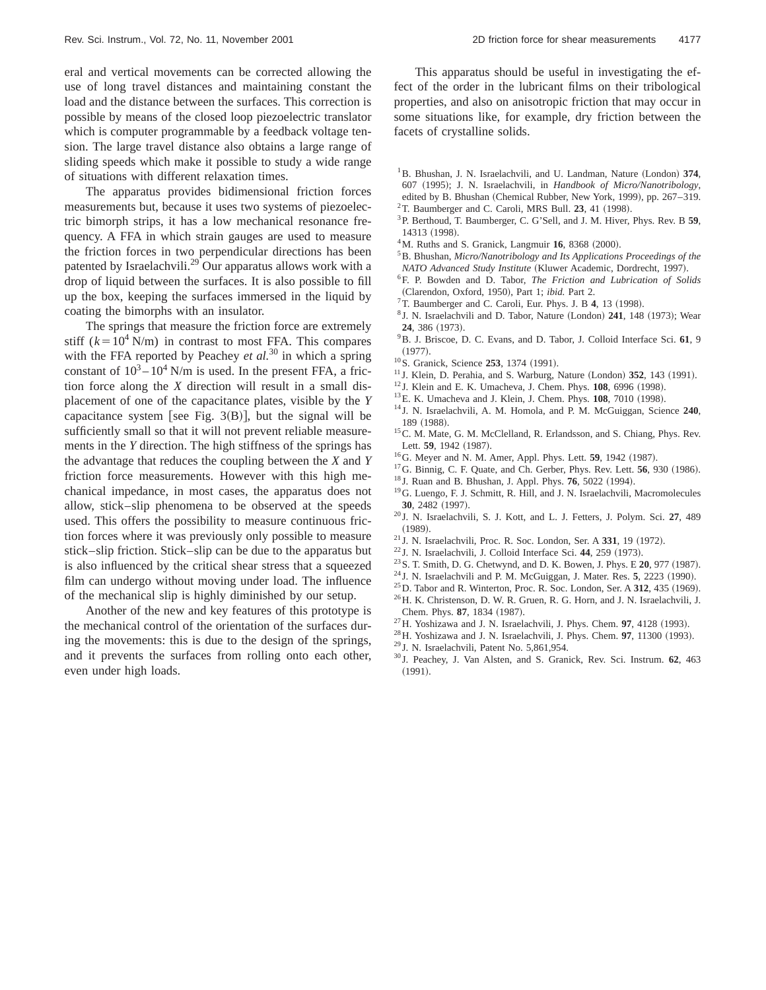eral and vertical movements can be corrected allowing the use of long travel distances and maintaining constant the load and the distance between the surfaces. This correction is possible by means of the closed loop piezoelectric translator which is computer programmable by a feedback voltage tension. The large travel distance also obtains a large range of sliding speeds which make it possible to study a wide range of situations with different relaxation times.

The apparatus provides bidimensional friction forces measurements but, because it uses two systems of piezoelectric bimorph strips, it has a low mechanical resonance frequency. A FFA in which strain gauges are used to measure the friction forces in two perpendicular directions has been patented by Israelachvili.29 Our apparatus allows work with a drop of liquid between the surfaces. It is also possible to fill up the box, keeping the surfaces immersed in the liquid by coating the bimorphs with an insulator.

The springs that measure the friction force are extremely stiff  $(k=10^4 \text{ N/m})$  in contrast to most FFA. This compares with the FFA reported by Peachey *et al.*<sup>30</sup> in which a spring constant of  $10^3 - 10^4$  N/m is used. In the present FFA, a friction force along the *X* direction will result in a small displacement of one of the capacitance plates, visible by the *Y* capacitance system [see Fig.  $3(B)$ ], but the signal will be sufficiently small so that it will not prevent reliable measurements in the *Y* direction. The high stiffness of the springs has the advantage that reduces the coupling between the *X* and *Y* friction force measurements. However with this high mechanical impedance, in most cases, the apparatus does not allow, stick–slip phenomena to be observed at the speeds used. This offers the possibility to measure continuous friction forces where it was previously only possible to measure stick–slip friction. Stick–slip can be due to the apparatus but is also influenced by the critical shear stress that a squeezed film can undergo without moving under load. The influence of the mechanical slip is highly diminished by our setup.

Another of the new and key features of this prototype is the mechanical control of the orientation of the surfaces during the movements: this is due to the design of the springs, and it prevents the surfaces from rolling onto each other, even under high loads.

This apparatus should be useful in investigating the effect of the order in the lubricant films on their tribological properties, and also on anisotropic friction that may occur in some situations like, for example, dry friction between the facets of crystalline solids.

- <sup>1</sup>B. Bhushan, J. N. Israelachvili, and U. Landman, Nature (London) 374, 607 (1995); J. N. Israelachvili, in *Handbook of Micro/Nanotribology*, edited by B. Bhushan (Chemical Rubber, New York, 1999), pp. 267–319.
- $2$ T. Baumberger and C. Caroli, MRS Bull. 23, 41 (1998).
- 3P. Berthoud, T. Baumberger, C. G'Sell, and J. M. Hiver, Phys. Rev. B **59**, 14313 (1998).
- $4^4$ M. Ruths and S. Granick, Langmuir 16, 8368  $(2000)$ .
- 5B. Bhushan, *Micro/Nanotribology and Its Applications Proceedings of the*
- *NATO Advanced Study Institute* (Kluwer Academic, Dordrecht, 1997).
- 6F. P. Bowden and D. Tabor, *The Friction and Lubrication of Solids* ~Clarendon, Oxford, 1950!, Part 1; *ibid.* Part 2.
- <sup>7</sup>T. Baumberger and C. Caroli, Eur. Phys. J. B 4, 13 (1998).
- <sup>8</sup> J. N. Israelachvili and D. Tabor, Nature (London) 241, 148 (1973); Wear **24**, 386 (1973).
- 9B. J. Briscoe, D. C. Evans, and D. Tabor, J. Colloid Interface Sci. **61**, 9  $(1977).$
- <sup>10</sup>S. Granick, Science 253, 1374 (1991).
- $11$  J. Klein, D. Perahia, and S. Warburg, Nature (London)  $352$ , 143 (1991).
- <sup>12</sup> J. Klein and E. K. Umacheva, J. Chem. Phys. **108**, 6996 (1998).
- <sup>13</sup>E. K. Umacheva and J. Klein, J. Chem. Phys. **108**, 7010 (1998).
- <sup>14</sup> J. N. Israelachvili, A. M. Homola, and P. M. McGuiggan, Science **240**, 189 (1988).
- 15C. M. Mate, G. M. McClelland, R. Erlandsson, and S. Chiang, Phys. Rev. Lett. 59, 1942 (1987).
- <sup>16</sup>G. Meyer and N. M. Amer, Appl. Phys. Lett. **59**, 1942 (1987).
- <sup>17</sup>G. Binnig, C. F. Quate, and Ch. Gerber, Phys. Rev. Lett. **56**, 930 (1986).
- <sup>18</sup> J. Ruan and B. Bhushan, J. Appl. Phys. **76**, 5022 (1994).
- 19G. Luengo, F. J. Schmitt, R. Hill, and J. N. Israelachvili, Macromolecules **30**, 2482 (1997).
- <sup>20</sup> J. N. Israelachvili, S. J. Kott, and L. J. Fetters, J. Polym. Sci. **27**, 489  $(1989)$ .
- <sup>21</sup> J. N. Israelachvili, Proc. R. Soc. London, Ser. A 331, 19 (1972).
- <sup>22</sup> J. N. Israelachvili, J. Colloid Interface Sci. 44, 259 (1973).
- <sup>23</sup> S. T. Smith, D. G. Chetwynd, and D. K. Bowen, J. Phys. E **20**, 977 (1987).
- $24$  J. N. Israelachvili and P. M. McGuiggan, J. Mater. Res.  $5$ , 2223 (1990).
- $^{25}$ D. Tabor and R. Winterton, Proc. R. Soc. London, Ser. A  $312$ ,  $435$  (1969).
- 26H. K. Christenson, D. W. R. Gruen, R. G. Horn, and J. N. Israelachvili, J. Chem. Phys. 87, 1834 (1987).
- $^{27}$ H. Yoshizawa and J. N. Israelachvili, J. Phys. Chem.  $97$ , 4128 (1993).
- <sup>28</sup> H. Yoshizawa and J. N. Israelachvili, J. Phys. Chem. 97, 11300 (1993).
- <sup>29</sup> J. N. Israelachvili, Patent No. 5,861,954.
- <sup>30</sup> J. Peachey, J. Van Alsten, and S. Granick, Rev. Sci. Instrum. **62**, 463  $(1991).$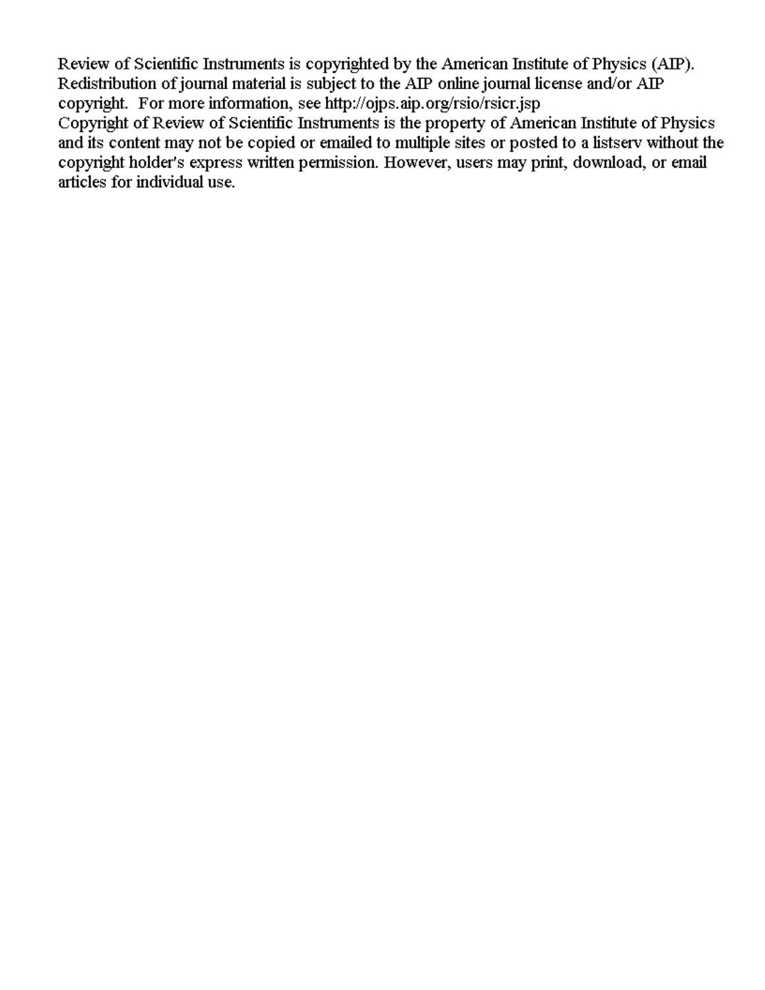Review of Scientific Instruments is copyrighted by the American Institute of Physics (AIP). Redistribution of journal material is subject to the AIP online journal license and/or AIP copyright. For more information, see http://ojps.aip.org/rsio/rsicr.jsp

Copyright of Review of Scientific Instruments is the property of American Institute of Physics and its content may not be copied or emailed to multiple sites or posted to a listsery without the copyright holder's express written permission. However, users may print, download, or email articles for individual use.